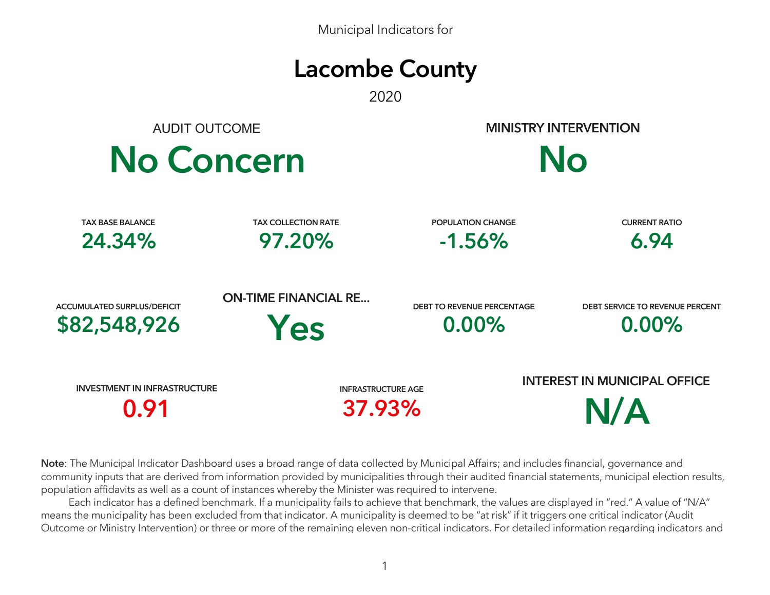Municipal Indicators for



2020

AUDIT OUTCOME



**MINISTRY INTERVENTION**



| <b>TAX BASE BALANCE</b>             | <b>TAX COLLECTION RATE</b>  | <b>POPULATION CHANGE</b>          | <b>CURRENT RATIO</b>                |  |  |
|-------------------------------------|-----------------------------|-----------------------------------|-------------------------------------|--|--|
| 24.34%                              | 97.20%                      | $-1.56%$                          | 6.94                                |  |  |
| <b>ACCUMULATED SURPLUS/DEFICIT</b>  | <b>ON-TIME FINANCIAL RE</b> | <b>DEBT TO REVENUE PERCENTAGE</b> | DEBT SERVICE TO REVENUE PERCENT     |  |  |
| \$82,548,926                        | Yes                         | $0.00\%$                          | $0.00\%$                            |  |  |
| <b>INVESTMENT IN INFRASTRUCTURE</b> |                             | <b>INFRASTRUCTURE AGE</b>         | <b>INTEREST IN MUNICIPAL OFFICE</b> |  |  |
| 0.91                                |                             | 37.93%                            | N/A                                 |  |  |

**Note**: The Municipal Indicator Dashboard uses a broad range of data collected by Municipal Affairs; and includes financial, governance and community inputs that are derived from information provided by municipalities through their audited financial statements, municipal election results, population affidavits as well as a count of instances whereby the Minister was required to intervene.

 Each indicator has a defined benchmark. If a municipality fails to achieve that benchmark, the values are displayed in "red." A value of "N/A" means the municipality has been excluded from that indicator. A municipality is deemed to be "at risk" if it triggers one critical indicator (Audit Outcome or Ministry Intervention) or three or more of the remaining eleven non-critical indicators. For detailed information regarding indicators and